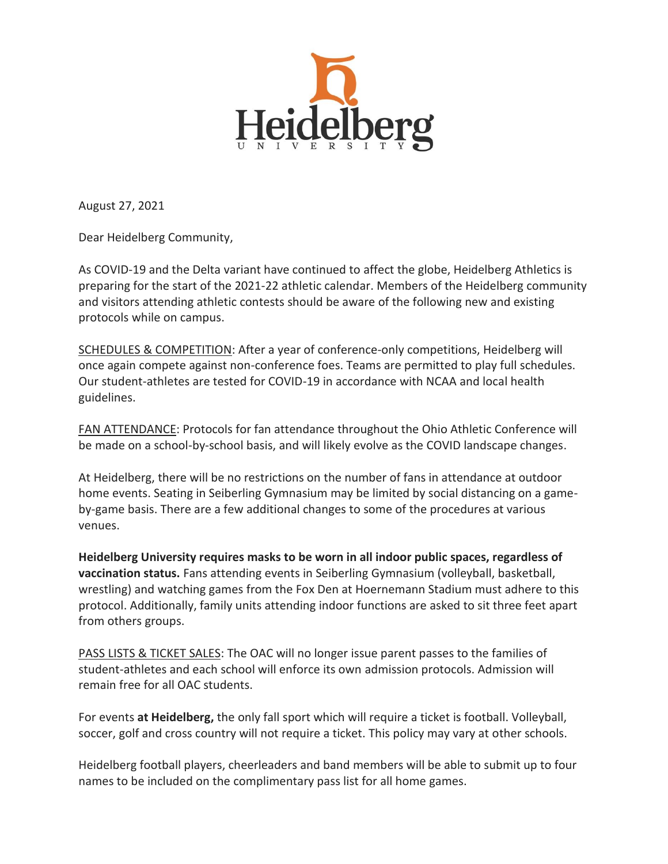

August 27, 2021

Dear Heidelberg Community,

As COVID-19 and the Delta variant have continued to affect the globe, Heidelberg Athletics is preparing for the start of the 2021-22 athletic calendar. Members of the Heidelberg community and visitors attending athletic contests should be aware of the following new and existing protocols while on campus.

SCHEDULES & COMPETITION: After a year of conference-only competitions, Heidelberg will once again compete against non-conference foes. Teams are permitted to play full schedules. Our student-athletes are tested for COVID-19 in accordance with NCAA and local health guidelines.

FAN ATTENDANCE: Protocols for fan attendance throughout the Ohio Athletic Conference will be made on a school-by-school basis, and will likely evolve as the COVID landscape changes.

At Heidelberg, there will be no restrictions on the number of fans in attendance at outdoor home events. Seating in Seiberling Gymnasium may be limited by social distancing on a gameby-game basis. There are a few additional changes to some of the procedures at various venues.

**Heidelberg University requires masks to be worn in all indoor public spaces, regardless of vaccination status.** Fans attending events in Seiberling Gymnasium (volleyball, basketball, wrestling) and watching games from the Fox Den at Hoernemann Stadium must adhere to this protocol. Additionally, family units attending indoor functions are asked to sit three feet apart from others groups.

PASS LISTS & TICKET SALES: The OAC will no longer issue parent passes to the families of student-athletes and each school will enforce its own admission protocols. Admission will remain free for all OAC students.

For events **at Heidelberg,** the only fall sport which will require a ticket is football. Volleyball, soccer, golf and cross country will not require a ticket. This policy may vary at other schools.

Heidelberg football players, cheerleaders and band members will be able to submit up to four names to be included on the complimentary pass list for all home games.